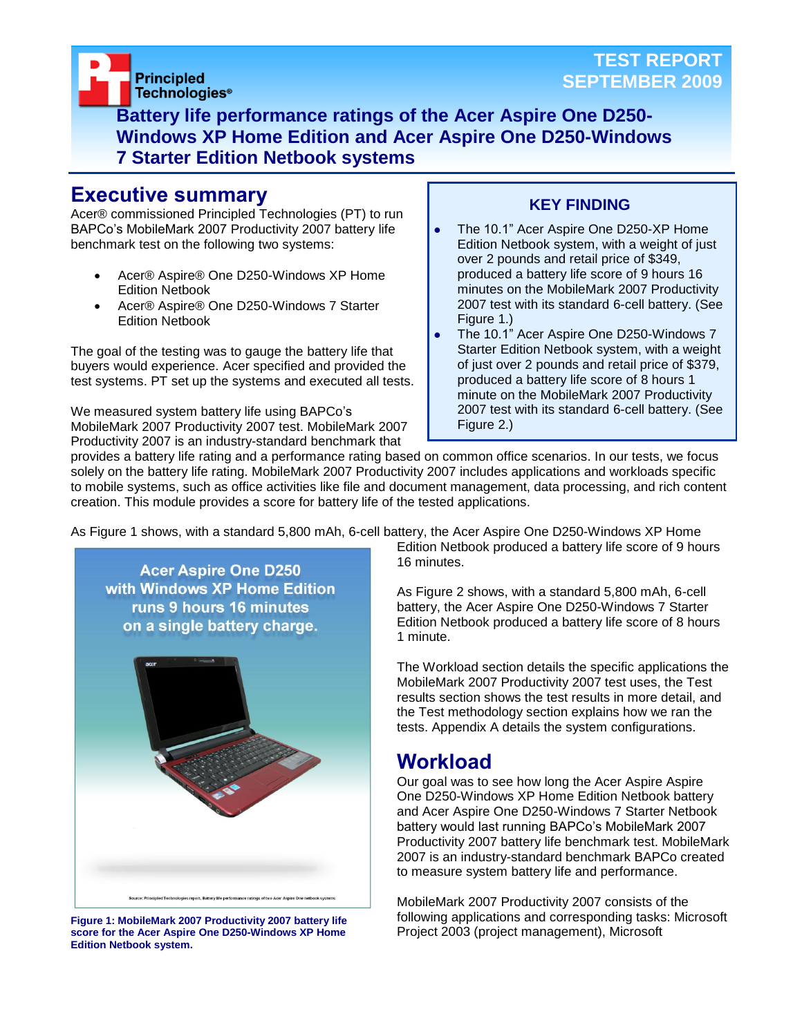

**Battery life performance ratings of the Acer Aspire One D250- Windows XP Home Edition and Acer Aspire One D250-Windows 7 Starter Edition Netbook systems**

### **Executive summary**

Acer® commissioned Principled Technologies (PT) to run BAPCo's MobileMark 2007 Productivity 2007 battery life benchmark test on the following two systems:

- Acer® Aspire® One D250-Windows XP Home Edition Netbook
- Acer® Aspire® One D250-Windows 7 Starter Edition Netbook

The goal of the testing was to gauge the battery life that buyers would experience. Acer specified and provided the test systems. PT set up the systems and executed all tests.

We measured system battery life using BAPCo's MobileMark 2007 Productivity 2007 test. MobileMark 2007 Productivity 2007 is an industry-standard benchmark that

### **KEY FINDING**

- The 10.1" Acer Aspire One D250-XP Home Edition Netbook system, with a weight of just over 2 pounds and retail price of \$349, produced a battery life score of 9 hours 16 minutes on the MobileMark 2007 Productivity 2007 test with its standard 6-cell battery. (See Figure 1.)
- The 10.1" Acer Aspire One D250-Windows 7 Starter Edition Netbook system, with a weight of just over 2 pounds and retail price of \$379, produced a battery life score of 8 hours 1 minute on the MobileMark 2007 Productivity 2007 test with its standard 6-cell battery. (See Figure 2.)

provides a battery life rating and a performance rating based on common office scenarios. In our tests, we focus solely on the battery life rating. MobileMark 2007 Productivity 2007 includes applications and workloads specific to mobile systems, such as office activities like file and document management, data processing, and rich content creation. This module provides a score for battery life of the tested applications.

As Figure 1 shows, with a standard 5,800 mAh, 6-cell battery, the Acer Aspire One D250-Windows XP Home



**Figure 1: MobileMark 2007 Productivity 2007 battery life score for the Acer Aspire One D250-Windows XP Home Edition Netbook system.**

Edition Netbook produced a battery life score of 9 hours 16 minutes.

As Figure 2 shows, with a standard 5,800 mAh, 6-cell battery, the Acer Aspire One D250-Windows 7 Starter Edition Netbook produced a battery life score of 8 hours 1 minute.

The Workload section details the specific applications the MobileMark 2007 Productivity 2007 test uses, the Test results section shows the test results in more detail, and the Test methodology section explains how we ran the tests. Appendix A details the system configurations.

## **Workload**

Our goal was to see how long the Acer Aspire Aspire One D250-Windows XP Home Edition Netbook battery and Acer Aspire One D250-Windows 7 Starter Netbook battery would last running BAPCo's MobileMark 2007 Productivity 2007 battery life benchmark test. MobileMark 2007 is an industry-standard benchmark BAPCo created to measure system battery life and performance.

MobileMark 2007 Productivity 2007 consists of the following applications and corresponding tasks: Microsoft Project 2003 (project management), Microsoft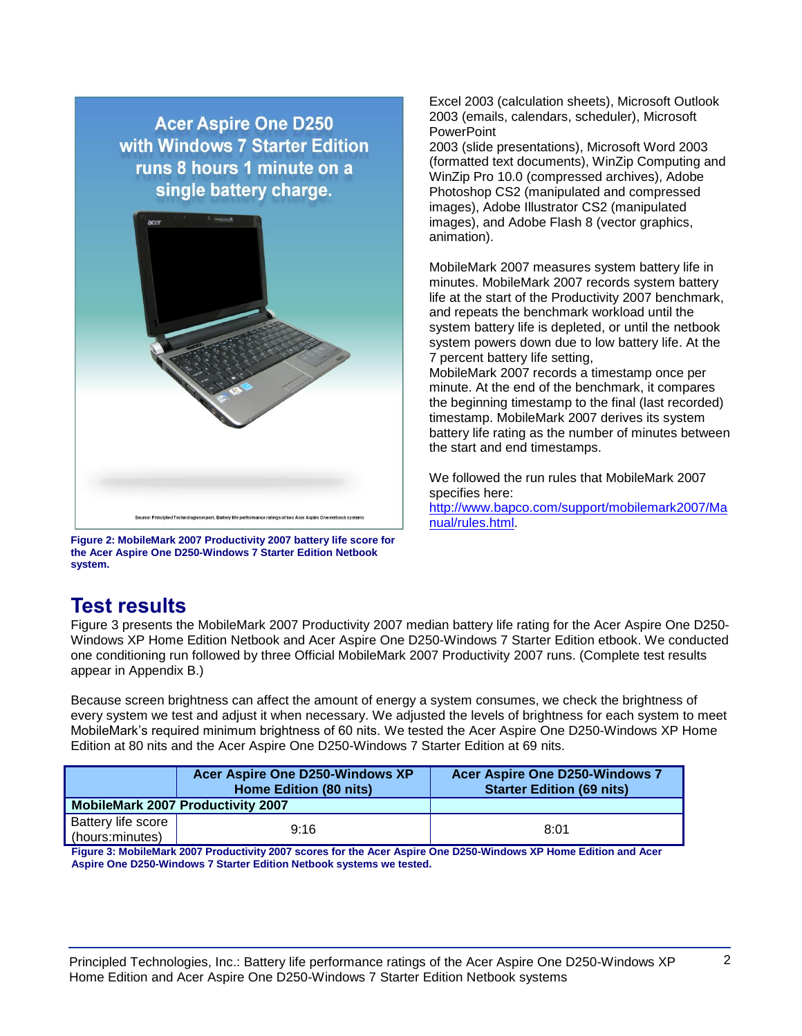**Acer Aspire One D250** with Windows 7 Starter Edition runs 8 hours 1 minute on a single battery charge.



**Figure 2: MobileMark 2007 Productivity 2007 battery life score for the Acer Aspire One D250-Windows 7 Starter Edition Netbook system.**

Excel 2003 (calculation sheets), Microsoft Outlook 2003 (emails, calendars, scheduler), Microsoft **PowerPoint** 

2003 (slide presentations), Microsoft Word 2003 (formatted text documents), WinZip Computing and WinZip Pro 10.0 (compressed archives), Adobe Photoshop CS2 (manipulated and compressed images), Adobe Illustrator CS2 (manipulated images), and Adobe Flash 8 (vector graphics, animation).

MobileMark 2007 measures system battery life in minutes. MobileMark 2007 records system battery life at the start of the Productivity 2007 benchmark, and repeats the benchmark workload until the system battery life is depleted, or until the netbook system powers down due to low battery life. At the 7 percent battery life setting,

MobileMark 2007 records a timestamp once per minute. At the end of the benchmark, it compares the beginning timestamp to the final (last recorded) timestamp. MobileMark 2007 derives its system battery life rating as the number of minutes between the start and end timestamps.

We followed the run rules that MobileMark 2007 specifies here: [http://www.bapco.com/support/mobilemark2007/Ma](http://www.bapco.com/support/mobilemark2007/Manual/rules.html) [nual/rules.html.](http://www.bapco.com/support/mobilemark2007/Manual/rules.html)

### **Test results**

Figure 3 presents the MobileMark 2007 Productivity 2007 median battery life rating for the Acer Aspire One D250- Windows XP Home Edition Netbook and Acer Aspire One D250-Windows 7 Starter Edition etbook. We conducted one conditioning run followed by three Official MobileMark 2007 Productivity 2007 runs. (Complete test results appear in Appendix B.)

Because screen brightness can affect the amount of energy a system consumes, we check the brightness of every system we test and adjust it when necessary. We adjusted the levels of brightness for each system to meet MobileMark's required minimum brightness of 60 nits. We tested the Acer Aspire One D250-Windows XP Home Edition at 80 nits and the Acer Aspire One D250-Windows 7 Starter Edition at 69 nits.

|                                          | <b>Acer Aspire One D250-Windows XP</b><br>Home Edition (80 nits) | <b>Acer Aspire One D250-Windows 7</b><br><b>Starter Edition (69 nits)</b> |
|------------------------------------------|------------------------------------------------------------------|---------------------------------------------------------------------------|
| <b>MobileMark 2007 Productivity 2007</b> |                                                                  |                                                                           |
| Battery life score<br>(hours:minutes)    | 9.16                                                             | 8:01                                                                      |

**Figure 3: MobileMark 2007 Productivity 2007 scores for the Acer Aspire One D250-Windows XP Home Edition and Acer Aspire One D250-Windows 7 Starter Edition Netbook systems we tested.**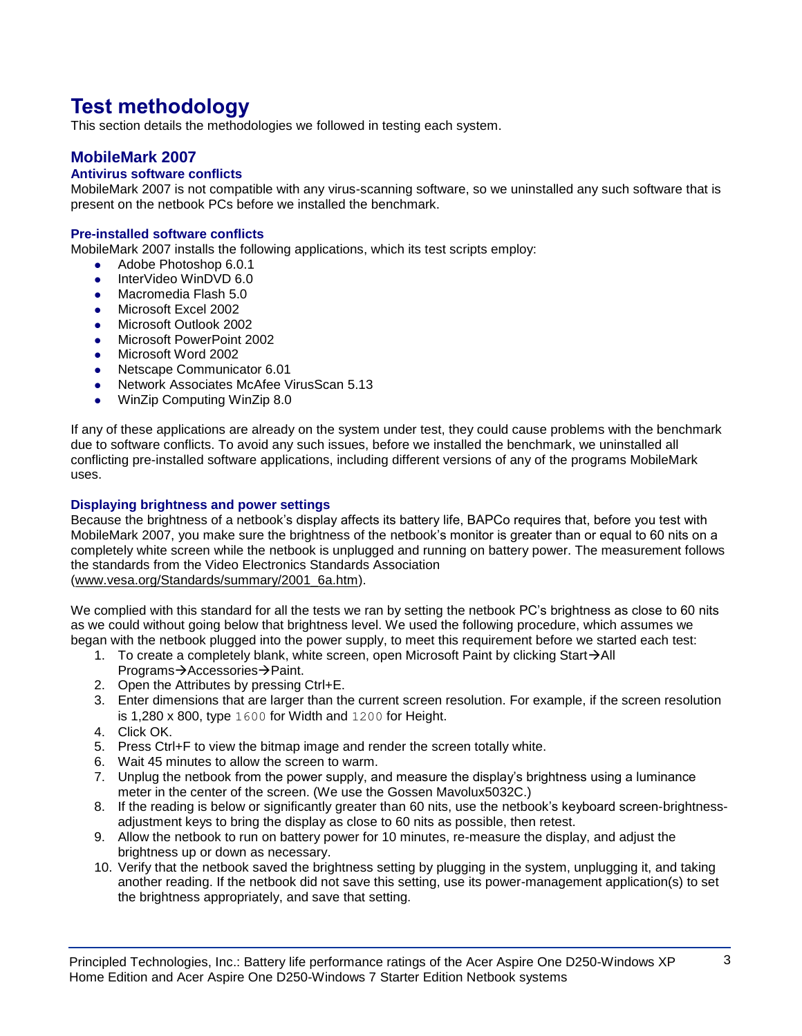## **Test methodology**

This section details the methodologies we followed in testing each system.

### **MobileMark 2007**

#### **Antivirus software conflicts**

MobileMark 2007 is not compatible with any virus-scanning software, so we uninstalled any such software that is present on the netbook PCs before we installed the benchmark.

#### **Pre-installed software conflicts**

MobileMark 2007 installs the following applications, which its test scripts employ:

- Adobe Photoshop 6.0.1
- InterVideo WinDVD 6.0
- Macromedia Flash 5.0
- Microsoft Excel 2002
- Microsoft Outlook 2002
- **Microsoft PowerPoint 2002**
- Microsoft Word 2002
- Netscape Communicator 6.01
- Network Associates McAfee VirusScan 5.13
- WinZip Computing WinZip 8.0

If any of these applications are already on the system under test, they could cause problems with the benchmark due to software conflicts. To avoid any such issues, before we installed the benchmark, we uninstalled all conflicting pre-installed software applications, including different versions of any of the programs MobileMark uses.

#### **Displaying brightness and power settings**

Because the brightness of a netbook's display affects its battery life, BAPCo requires that, before you test with MobileMark 2007, you make sure the brightness of the netbook's monitor is greater than or equal to 60 nits on a completely white screen while the netbook is unplugged and running on battery power. The measurement follows the standards from the Video Electronics Standards Association [\(www.vesa.org/Standards/summary/2001\\_6a.htm\)](http://www.vesa.org/Standards/summary/2001_6a.htm).

We complied with this standard for all the tests we ran by setting the netbook PC's brightness as close to 60 nits as we could without going below that brightness level. We used the following procedure, which assumes we began with the netbook plugged into the power supply, to meet this requirement before we started each test:

- 1. To create a completely blank, white screen, open Microsoft Paint by clicking Start $\rightarrow$ All Programs→Accessories→Paint.
- 2. Open the Attributes by pressing Ctrl+E.
- 3. Enter dimensions that are larger than the current screen resolution. For example, if the screen resolution is 1,280 x 800, type 1600 for Width and 1200 for Height.
- 4. Click OK.
- 5. Press Ctrl+F to view the bitmap image and render the screen totally white.
- 6. Wait 45 minutes to allow the screen to warm.
- 7. Unplug the netbook from the power supply, and measure the display's brightness using a luminance meter in the center of the screen. (We use the Gossen Mavolux5032C.)
- 8. If the reading is below or significantly greater than 60 nits, use the netbook's keyboard screen-brightnessadjustment keys to bring the display as close to 60 nits as possible, then retest.
- 9. Allow the netbook to run on battery power for 10 minutes, re-measure the display, and adjust the brightness up or down as necessary.
- 10. Verify that the netbook saved the brightness setting by plugging in the system, unplugging it, and taking another reading. If the netbook did not save this setting, use its power-management application(s) to set the brightness appropriately, and save that setting.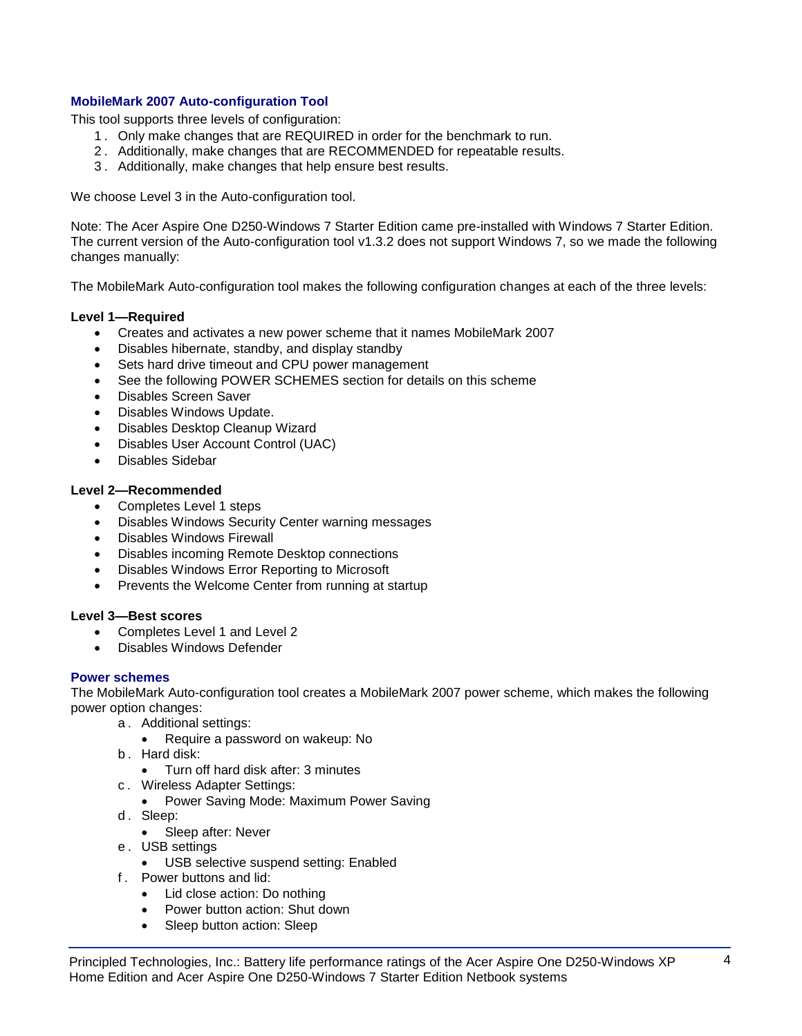#### **MobileMark 2007 Auto-configuration Tool**

This tool supports three levels of configuration:

- 1 . Only make changes that are REQUIRED in order for the benchmark to run.
- 2 . Additionally, make changes that are RECOMMENDED for repeatable results.
- 3 . Additionally, make changes that help ensure best results.

We choose Level 3 in the Auto-configuration tool.

Note: The Acer Aspire One D250-Windows 7 Starter Edition came pre-installed with Windows 7 Starter Edition. The current version of the Auto-configuration tool v1.3.2 does not support Windows 7, so we made the following changes manually:

The MobileMark Auto-configuration tool makes the following configuration changes at each of the three levels:

#### **Level 1—Required**

- Creates and activates a new power scheme that it names MobileMark 2007
- Disables hibernate, standby, and display standby
- Sets hard drive timeout and CPU power management
- See the following POWER SCHEMES section for details on this scheme
- Disables Screen Saver
- Disables Windows Update.
- Disables Desktop Cleanup Wizard
- Disables User Account Control (UAC)
- Disables Sidebar

#### **Level 2—Recommended**

- Completes Level 1 steps
- Disables Windows Security Center warning messages
- Disables Windows Firewall
- Disables incoming Remote Desktop connections
- Disables Windows Error Reporting to Microsoft
- Prevents the Welcome Center from running at startup

#### **Level 3—Best scores**

- Completes Level 1 and Level 2
- Disables Windows Defender

#### **Power schemes**

The MobileMark Auto-configuration tool creates a MobileMark 2007 power scheme, which makes the following power option changes:

- a . Additional settings:
	- Require a password on wakeup: No
- b . Hard disk:
	- Turn off hard disk after: 3 minutes
- c . Wireless Adapter Settings:
	- Power Saving Mode: Maximum Power Saving
- d. Sleep:
	- Sleep after: Never
- e . USB settings
	- USB selective suspend setting: Enabled
- f . Power buttons and lid:
	- Lid close action: Do nothing
	- Power button action: Shut down
	- Sleep button action: Sleep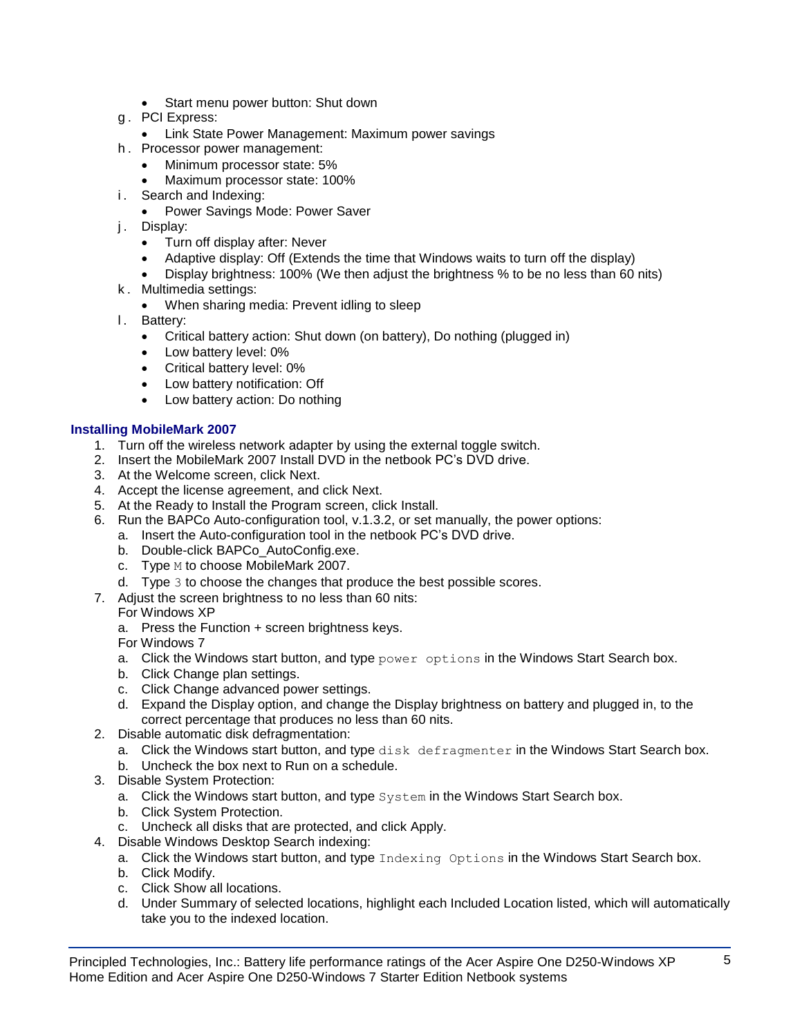- Start menu power button: Shut down
- g . PCI Express:
- Link State Power Management: Maximum power savings
- h . Processor power management:
	- Minimum processor state: 5%
	- Maximum processor state: 100%
- i. Search and Indexing:
	- Power Savings Mode: Power Saver
- j. Display:
	- Turn off display after: Never
	- Adaptive display: Off (Extends the time that Windows waits to turn off the display)
	- Display brightness: 100% (We then adjust the brightness % to be no less than 60 nits)
- k . Multimedia settings:
	- When sharing media: Prevent idling to sleep
- l. Battery:
	- Critical battery action: Shut down (on battery), Do nothing (plugged in)
	- Low battery level: 0%
	- Critical battery level: 0%
	- Low battery notification: Off
	- Low battery action: Do nothing

### **Installing MobileMark 2007**

- 1. Turn off the wireless network adapter by using the external toggle switch.
- 2. Insert the MobileMark 2007 Install DVD in the netbook PC's DVD drive.
- 3. At the Welcome screen, click Next.
- 4. Accept the license agreement, and click Next.
- 5. At the Ready to Install the Program screen, click Install.
- 6. Run the BAPCo Auto-configuration tool, v.1.3.2, or set manually, the power options:
	- a. Insert the Auto-configuration tool in the netbook PC's DVD drive.
	- b. Double-click BAPCo\_AutoConfig.exe.
	- c. Type M to choose MobileMark 2007.
	- d. Type 3 to choose the changes that produce the best possible scores.
- 7. Adjust the screen brightness to no less than 60 nits:
	- For Windows XP
	- a. Press the Function + screen brightness keys.
	- For Windows 7
	- a. Click the Windows start button, and type  $power$  options in the Windows Start Search box.
	- b. Click Change plan settings.
	- c. Click Change advanced power settings.
	- d. Expand the Display option, and change the Display brightness on battery and plugged in, to the correct percentage that produces no less than 60 nits.
- 2. Disable automatic disk defragmentation:
	- a. Click the Windows start button, and type disk defragmenter in the Windows Start Search box.
	- b. Uncheck the box next to Run on a schedule.
- 3. Disable System Protection:
	- a. Click the Windows start button, and type System in the Windows Start Search box.
	- b. Click System Protection.
	- c. Uncheck all disks that are protected, and click Apply.
- 4. Disable Windows Desktop Search indexing:
	- a. Click the Windows start button, and type Indexing Options in the Windows Start Search box.
	- b. Click Modify.
	- c. Click Show all locations.
	- d. Under Summary of selected locations, highlight each Included Location listed, which will automatically take you to the indexed location.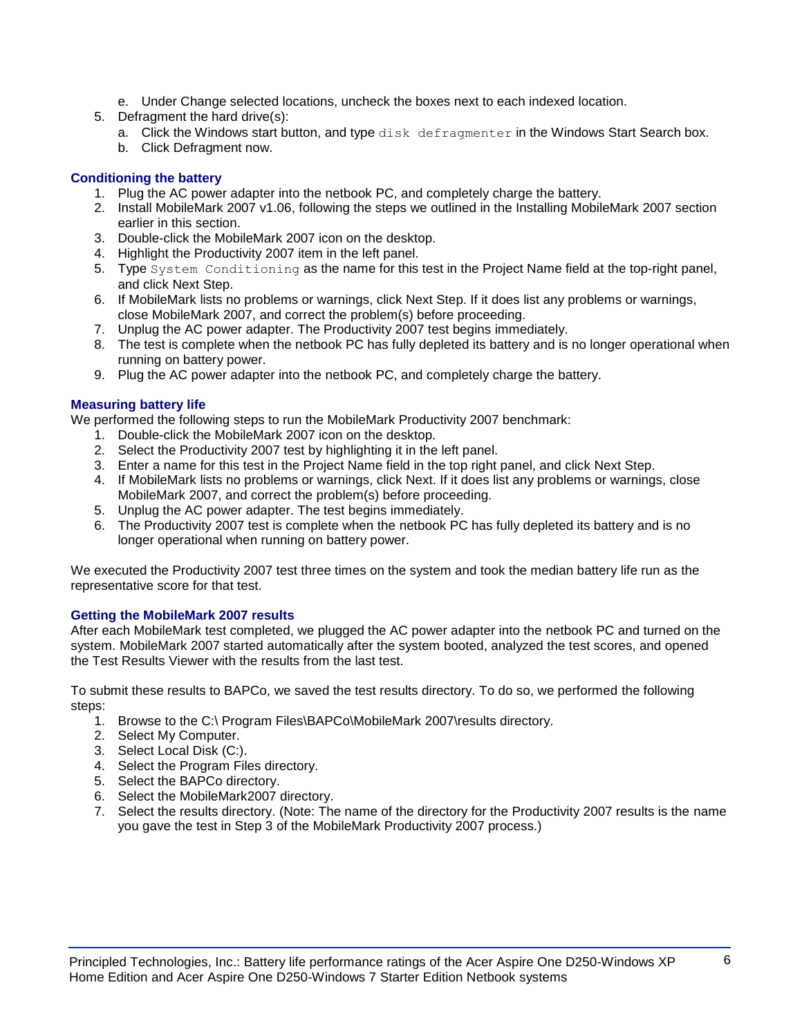- e. Under Change selected locations, uncheck the boxes next to each indexed location.
- 5. Defragment the hard drive(s):
	- a. Click the Windows start button, and type disk defragmenter in the Windows Start Search box.
	- b. Click Defragment now.

#### **Conditioning the battery**

- 1. Plug the AC power adapter into the netbook PC, and completely charge the battery.
- 2. Install MobileMark 2007 v1.06, following the steps we outlined in the Installing MobileMark 2007 section earlier in this section.
- 3. Double-click the MobileMark 2007 icon on the desktop.
- 4. Highlight the Productivity 2007 item in the left panel.
- 5. Type System Conditioning as the name for this test in the Project Name field at the top-right panel, and click Next Step.
- 6. If MobileMark lists no problems or warnings, click Next Step. If it does list any problems or warnings, close MobileMark 2007, and correct the problem(s) before proceeding.
- 7. Unplug the AC power adapter. The Productivity 2007 test begins immediately.
- 8. The test is complete when the netbook PC has fully depleted its battery and is no longer operational when running on battery power.
- 9. Plug the AC power adapter into the netbook PC, and completely charge the battery.

#### **Measuring battery life**

We performed the following steps to run the MobileMark Productivity 2007 benchmark:

- 1. Double-click the MobileMark 2007 icon on the desktop.
- 2. Select the Productivity 2007 test by highlighting it in the left panel.
- 3. Enter a name for this test in the Project Name field in the top right panel, and click Next Step.
- 4. If MobileMark lists no problems or warnings, click Next. If it does list any problems or warnings, close MobileMark 2007, and correct the problem(s) before proceeding.
- 5. Unplug the AC power adapter. The test begins immediately.
- 6. The Productivity 2007 test is complete when the netbook PC has fully depleted its battery and is no longer operational when running on battery power.

We executed the Productivity 2007 test three times on the system and took the median battery life run as the representative score for that test.

#### **Getting the MobileMark 2007 results**

After each MobileMark test completed, we plugged the AC power adapter into the netbook PC and turned on the system. MobileMark 2007 started automatically after the system booted, analyzed the test scores, and opened the Test Results Viewer with the results from the last test.

To submit these results to BAPCo, we saved the test results directory. To do so, we performed the following steps:

- 1. Browse to the C:\ Program Files\BAPCo\MobileMark 2007\results directory.
- 2. Select My Computer.
- 3. Select Local Disk (C:).
- 4. Select the Program Files directory.
- 5. Select the BAPCo directory.
- 6. Select the MobileMark2007 directory.
- 7. Select the results directory. (Note: The name of the directory for the Productivity 2007 results is the name you gave the test in Step 3 of the MobileMark Productivity 2007 process.)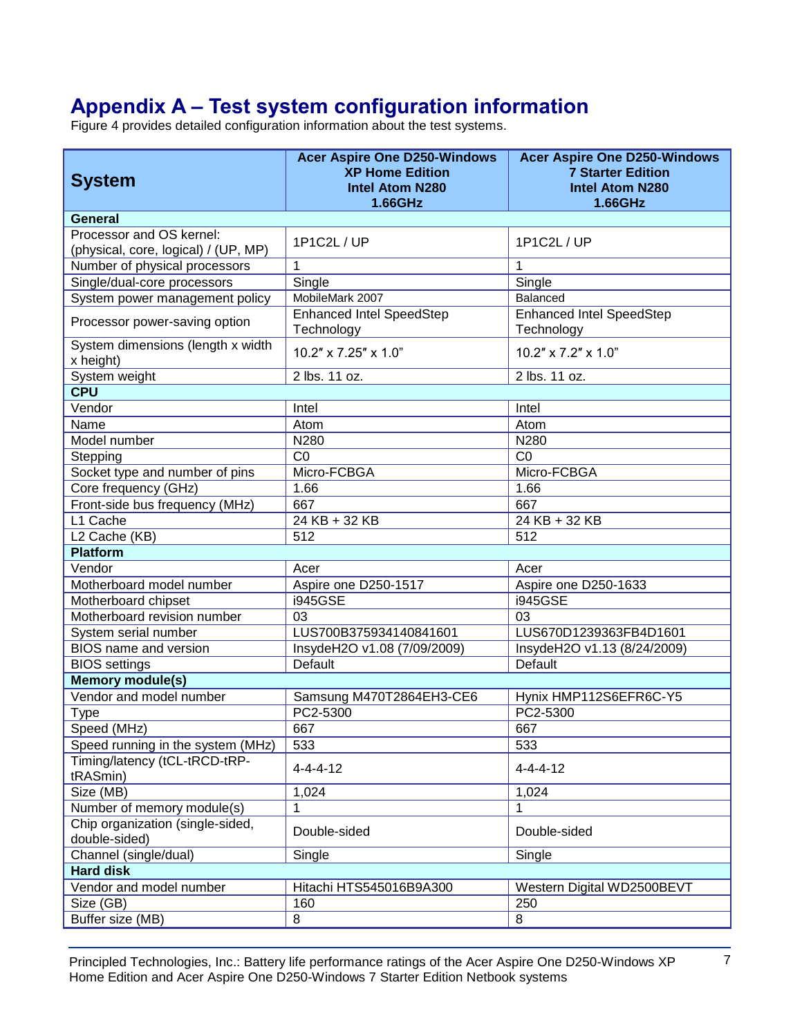# **Appendix A – Test system configuration information**

Figure 4 provides detailed configuration information about the test systems.

| <b>System</b>                                                    | <b>Acer Aspire One D250-Windows</b><br><b>XP Home Edition</b><br><b>Intel Atom N280</b><br>1.66GHz | <b>Acer Aspire One D250-Windows</b><br><b>7 Starter Edition</b><br><b>Intel Atom N280</b><br>1.66GHz |  |  |
|------------------------------------------------------------------|----------------------------------------------------------------------------------------------------|------------------------------------------------------------------------------------------------------|--|--|
| <b>General</b>                                                   |                                                                                                    |                                                                                                      |  |  |
| Processor and OS kernel:<br>(physical, core, logical) / (UP, MP) | 1P1C2L / UP                                                                                        | 1P1C2L / UP                                                                                          |  |  |
| Number of physical processors                                    | 1                                                                                                  | 1                                                                                                    |  |  |
| Single/dual-core processors                                      | Single                                                                                             | Single                                                                                               |  |  |
| System power management policy                                   | MobileMark 2007                                                                                    | Balanced                                                                                             |  |  |
| Processor power-saving option                                    | <b>Enhanced Intel SpeedStep</b><br>Technology                                                      | <b>Enhanced Intel SpeedStep</b><br>Technology                                                        |  |  |
| System dimensions (length x width<br>x height)                   | $10.2" \times 7.25" \times 1.0"$                                                                   | 10.2" x 7.2" x 1.0"                                                                                  |  |  |
| System weight                                                    | 2 lbs. 11 oz.                                                                                      | 2 lbs. 11 oz.                                                                                        |  |  |
| <b>CPU</b>                                                       |                                                                                                    |                                                                                                      |  |  |
| Vendor                                                           | Intel                                                                                              | Intel                                                                                                |  |  |
| Name                                                             | Atom                                                                                               | Atom                                                                                                 |  |  |
| Model number                                                     | N280                                                                                               | N280                                                                                                 |  |  |
| Stepping                                                         | CO                                                                                                 | CO                                                                                                   |  |  |
| Socket type and number of pins                                   | Micro-FCBGA                                                                                        | Micro-FCBGA                                                                                          |  |  |
| Core frequency (GHz)                                             | 1.66                                                                                               | 1.66                                                                                                 |  |  |
| Front-side bus frequency (MHz)                                   | 667                                                                                                | 667                                                                                                  |  |  |
| L1 Cache                                                         | 24 KB + 32 KB                                                                                      | $\overline{24}$ KB + 32 KB                                                                           |  |  |
| L <sub>2</sub> Cache (KB)                                        | 512                                                                                                | 512                                                                                                  |  |  |
| <b>Platform</b>                                                  |                                                                                                    |                                                                                                      |  |  |
| Vendor                                                           | Acer                                                                                               | Acer                                                                                                 |  |  |
| Motherboard model number                                         | Aspire one D250-1517                                                                               | Aspire one D250-1633                                                                                 |  |  |
| Motherboard chipset                                              | i945GSE                                                                                            | <b>i945GSE</b>                                                                                       |  |  |
| Motherboard revision number                                      | 03                                                                                                 | 03                                                                                                   |  |  |
| System serial number                                             | LUS700B375934140841601                                                                             | LUS670D1239363FB4D1601                                                                               |  |  |
| <b>BIOS</b> name and version                                     | InsydeH2O v1.08 (7/09/2009)                                                                        | InsydeH2O v1.13 (8/24/2009)                                                                          |  |  |
| <b>BIOS</b> settings                                             | Default                                                                                            | Default                                                                                              |  |  |
| <b>Memory module(s)</b>                                          |                                                                                                    |                                                                                                      |  |  |
| Vendor and model number                                          | Samsung M470T2864EH3-CE6                                                                           | Hynix HMP112S6EFR6C-Y5                                                                               |  |  |
| Type                                                             | PC2-5300                                                                                           | PC2-5300                                                                                             |  |  |
| Speed (MHz)                                                      | 667                                                                                                | 667                                                                                                  |  |  |
| Speed running in the system (MHz)                                | 533                                                                                                | 533                                                                                                  |  |  |
| Timing/latency (tCL-tRCD-tRP-<br>tRASmin)                        | $4 - 4 - 4 - 12$                                                                                   | $4 - 4 - 4 - 12$                                                                                     |  |  |
| Size (MB)                                                        | 1,024                                                                                              | 1,024                                                                                                |  |  |
| Number of memory module(s)                                       | 1                                                                                                  | 1                                                                                                    |  |  |
| Chip organization (single-sided,<br>double-sided)                | Double-sided                                                                                       | Double-sided                                                                                         |  |  |
| Channel (single/dual)                                            | Single                                                                                             | Single                                                                                               |  |  |
| <b>Hard disk</b>                                                 |                                                                                                    |                                                                                                      |  |  |
| Vendor and model number                                          | Hitachi HTS545016B9A300                                                                            | Western Digital WD2500BEVT                                                                           |  |  |
| Size (GB)                                                        | 160                                                                                                | 250                                                                                                  |  |  |
| Buffer size (MB)                                                 | 8                                                                                                  | 8                                                                                                    |  |  |

Principled Technologies, Inc.: Battery life performance ratings of the Acer Aspire One D250-Windows XP 7 Home Edition and Acer Aspire One D250-Windows 7 Starter Edition Netbook systems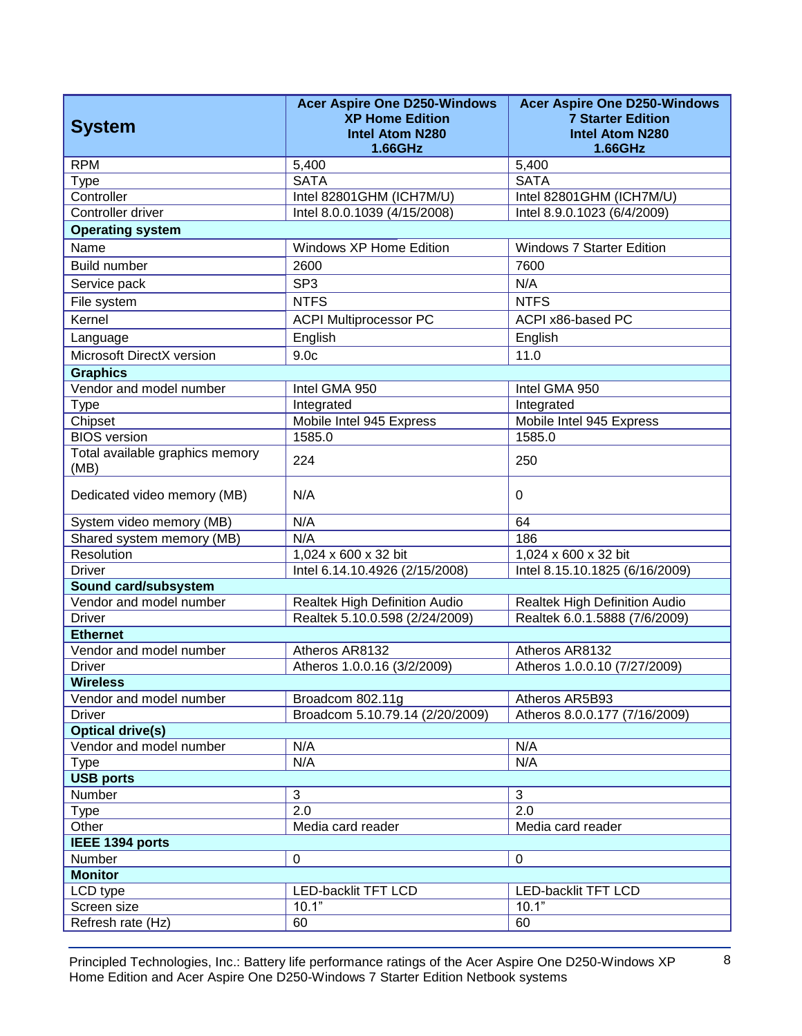| <b>System</b>                              | <b>Acer Aspire One D250-Windows</b><br><b>XP Home Edition</b><br><b>Intel Atom N280</b> | <b>Acer Aspire One D250-Windows</b><br><b>7 Starter Edition</b><br><b>Intel Atom N280</b> |  |  |
|--------------------------------------------|-----------------------------------------------------------------------------------------|-------------------------------------------------------------------------------------------|--|--|
|                                            | 1.66GHz                                                                                 | 1.66GHz                                                                                   |  |  |
| <b>RPM</b>                                 | 5,400                                                                                   | 5,400                                                                                     |  |  |
| <b>Type</b>                                | <b>SATA</b>                                                                             | <b>SATA</b>                                                                               |  |  |
| Controller                                 | Intel 82801GHM (ICH7M/U)                                                                | Intel 82801GHM (ICH7M/U)                                                                  |  |  |
| Controller driver                          | Intel 8.0.0.1039 (4/15/2008)                                                            | Intel 8.9.0.1023 (6/4/2009)                                                               |  |  |
| <b>Operating system</b>                    |                                                                                         |                                                                                           |  |  |
| Name                                       | Windows XP Home Edition                                                                 | <b>Windows 7 Starter Edition</b>                                                          |  |  |
| <b>Build number</b>                        | 2600                                                                                    | 7600                                                                                      |  |  |
| Service pack                               | SP <sub>3</sub>                                                                         | N/A                                                                                       |  |  |
| File system                                | <b>NTFS</b>                                                                             | <b>NTFS</b>                                                                               |  |  |
| Kernel                                     | <b>ACPI Multiprocessor PC</b>                                                           | ACPI x86-based PC                                                                         |  |  |
| Language                                   | English                                                                                 | English                                                                                   |  |  |
| Microsoft DirectX version                  | 9.0 <sub>c</sub>                                                                        | 11.0                                                                                      |  |  |
|                                            |                                                                                         |                                                                                           |  |  |
| <b>Graphics</b><br>Vendor and model number |                                                                                         | Intel GMA 950                                                                             |  |  |
|                                            | Intel GMA 950                                                                           |                                                                                           |  |  |
| <b>Type</b><br>Chipset                     | Integrated<br>Mobile Intel 945 Express                                                  | Integrated<br>Mobile Intel 945 Express                                                    |  |  |
| <b>BIOS</b> version                        | 1585.0                                                                                  | 1585.0                                                                                    |  |  |
| Total available graphics memory            |                                                                                         |                                                                                           |  |  |
| (MB)                                       | 224                                                                                     | 250                                                                                       |  |  |
| Dedicated video memory (MB)                | N/A                                                                                     | $\Omega$                                                                                  |  |  |
| System video memory (MB)                   | N/A                                                                                     | 64                                                                                        |  |  |
| Shared system memory (MB)                  | N/A                                                                                     | 186                                                                                       |  |  |
| Resolution                                 | 1,024 x 600 x 32 bit                                                                    | 1,024 x 600 x 32 bit                                                                      |  |  |
| <b>Driver</b>                              | Intel 6.14.10.4926 (2/15/2008)                                                          | Intel 8.15.10.1825 (6/16/2009)                                                            |  |  |
| Sound card/subsystem                       |                                                                                         |                                                                                           |  |  |
| Vendor and model number                    | Realtek High Definition Audio                                                           | Realtek High Definition Audio                                                             |  |  |
| <b>Driver</b>                              | Realtek 5.10.0.598 (2/24/2009)                                                          | Realtek 6.0.1.5888 (7/6/2009)                                                             |  |  |
| <b>Ethernet</b>                            |                                                                                         |                                                                                           |  |  |
| Vendor and model number                    | Atheros AR8132                                                                          | Atheros AR8132                                                                            |  |  |
| Driver                                     | Atheros 1.0.0.16 (3/2/2009)                                                             | Atheros 1.0.0.10 (7/27/2009)                                                              |  |  |
| <b>Wireless</b>                            |                                                                                         |                                                                                           |  |  |
| Vendor and model number                    | Broadcom 802.11g                                                                        | Atheros AR5B93                                                                            |  |  |
| <b>Driver</b>                              | Broadcom 5.10.79.14 (2/20/2009)                                                         | Atheros 8.0.0.177 (7/16/2009)                                                             |  |  |
| <b>Optical drive(s)</b>                    |                                                                                         |                                                                                           |  |  |
| Vendor and model number                    | N/A                                                                                     | N/A                                                                                       |  |  |
| <b>Type</b>                                | N/A                                                                                     | N/A                                                                                       |  |  |
| <b>USB ports</b>                           |                                                                                         |                                                                                           |  |  |
| Number                                     | 3                                                                                       | $\mathbf{3}$                                                                              |  |  |
| <b>Type</b>                                | 2.0                                                                                     | 2.0                                                                                       |  |  |
| Other                                      | Media card reader                                                                       | Media card reader                                                                         |  |  |
| IEEE 1394 ports                            |                                                                                         |                                                                                           |  |  |
| Number                                     | $\pmb{0}$                                                                               | 0                                                                                         |  |  |
| <b>Monitor</b>                             |                                                                                         |                                                                                           |  |  |
| LCD type                                   | <b>LED-backlit TFT LCD</b>                                                              | LED-backlit TFT LCD                                                                       |  |  |
| Screen size                                | 10.1"                                                                                   | 10.1"                                                                                     |  |  |
| Refresh rate (Hz)                          | 60                                                                                      | 60                                                                                        |  |  |

Principled Technologies, Inc.: Battery life performance ratings of the Acer Aspire One D250-Windows XP 8 Home Edition and Acer Aspire One D250-Windows 7 Starter Edition Netbook systems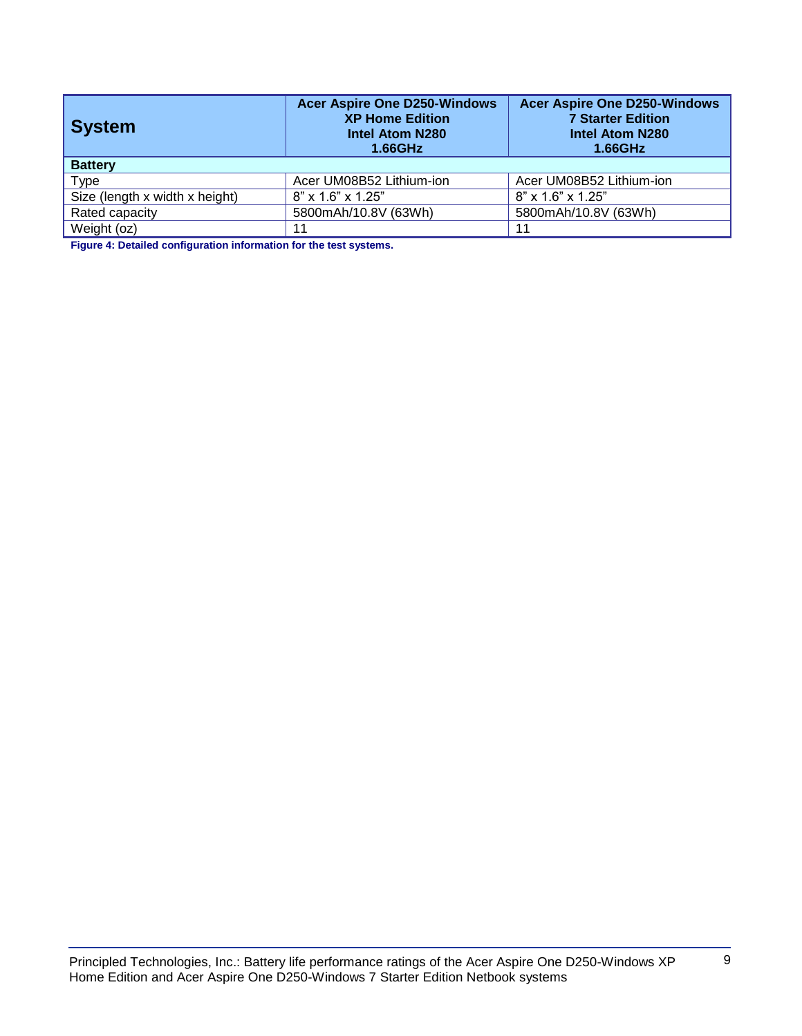| <b>System</b>                  | <b>Acer Aspire One D250-Windows</b><br><b>XP Home Edition</b><br><b>Intel Atom N280</b><br>1.66GHz | <b>Acer Aspire One D250-Windows</b><br><b>7 Starter Edition</b><br><b>Intel Atom N280</b><br>1.66GHz |  |  |
|--------------------------------|----------------------------------------------------------------------------------------------------|------------------------------------------------------------------------------------------------------|--|--|
| <b>Battery</b>                 |                                                                                                    |                                                                                                      |  |  |
| Type                           | Acer UM08B52 Lithium-ion                                                                           | Acer UM08B52 Lithium-ion                                                                             |  |  |
| Size (length x width x height) | 8" x 1.6" x 1.25"                                                                                  | 8" x 1.6" x 1.25"                                                                                    |  |  |
| Rated capacity                 | 5800mAh/10.8V (63Wh)                                                                               | 5800mAh/10.8V (63Wh)                                                                                 |  |  |
| Weight (oz)                    | 11                                                                                                 | 11                                                                                                   |  |  |

**Figure 4: Detailed configuration information for the test systems.**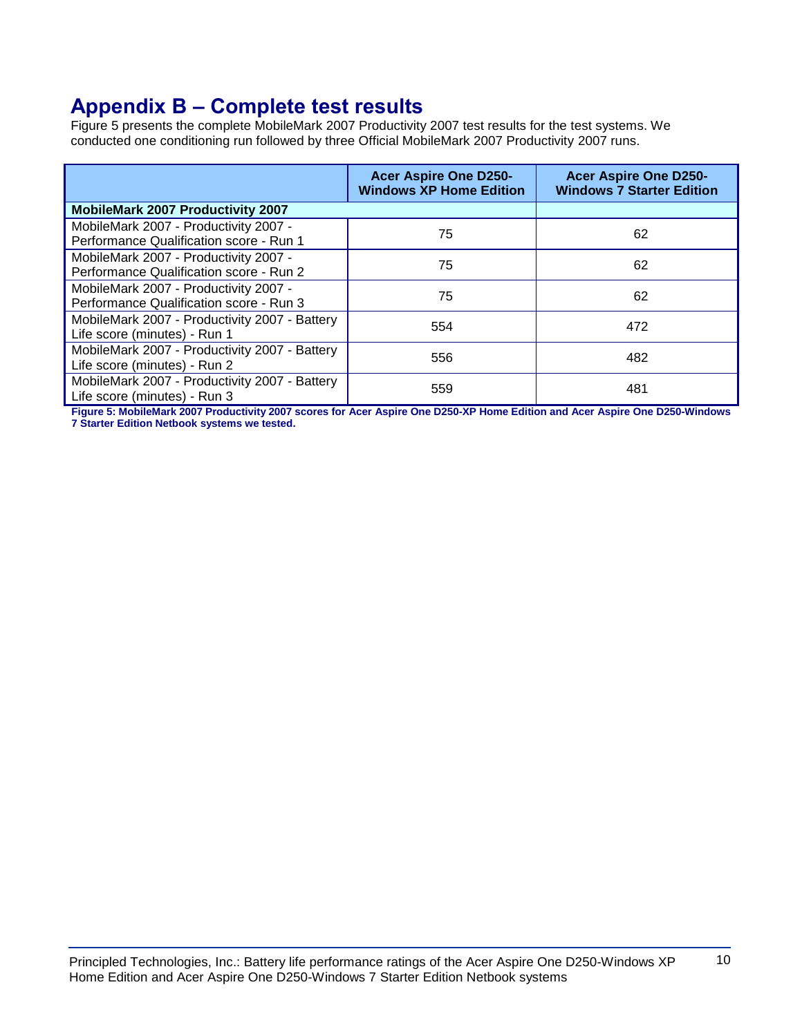## **Appendix B – Complete test results**

Figure 5 presents the complete MobileMark 2007 Productivity 2007 test results for the test systems. We conducted one conditioning run followed by three Official MobileMark 2007 Productivity 2007 runs.

|                                               | <b>Acer Aspire One D250-</b><br><b>Windows XP Home Edition</b> | <b>Acer Aspire One D250-</b><br><b>Windows 7 Starter Edition</b> |
|-----------------------------------------------|----------------------------------------------------------------|------------------------------------------------------------------|
| <b>MobileMark 2007 Productivity 2007</b>      |                                                                |                                                                  |
| MobileMark 2007 - Productivity 2007 -         | 75                                                             | 62                                                               |
| Performance Qualification score - Run 1       |                                                                |                                                                  |
| MobileMark 2007 - Productivity 2007 -         | 75                                                             | 62                                                               |
| Performance Qualification score - Run 2       |                                                                |                                                                  |
| MobileMark 2007 - Productivity 2007 -         | 75                                                             | 62                                                               |
| Performance Qualification score - Run 3       |                                                                |                                                                  |
| MobileMark 2007 - Productivity 2007 - Battery | 554                                                            | 472                                                              |
| Life score (minutes) - Run 1                  |                                                                |                                                                  |
| MobileMark 2007 - Productivity 2007 - Battery | 556                                                            | 482                                                              |
| Life score (minutes) - Run 2                  |                                                                |                                                                  |
| MobileMark 2007 - Productivity 2007 - Battery | 559                                                            | 481                                                              |
| Life score (minutes) - Run 3                  |                                                                |                                                                  |

**Figure 5: MobileMark 2007 Productivity 2007 scores for Acer Aspire One D250-XP Home Edition and Acer Aspire One D250-Windows 7 Starter Edition Netbook systems we tested.**